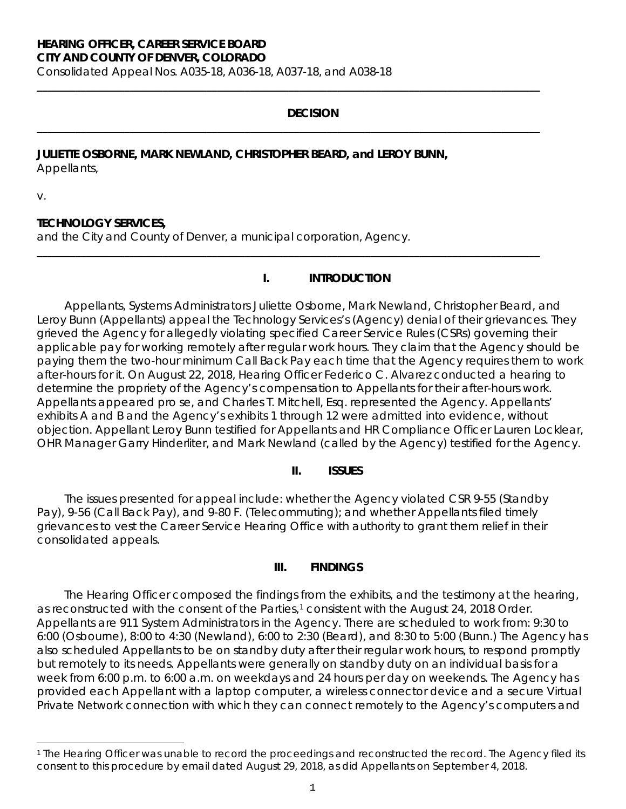# **HEARING OFFICER, CAREER SERVICE BOARD**

**CITY AND COUNTY OF DENVER, COLORADO**

Consolidated Appeal Nos. A035-18, A036-18, A037-18, and A038-18

## **DECISION**

**\_\_\_\_\_\_\_\_\_\_\_\_\_\_\_\_\_\_\_\_\_\_\_\_\_\_\_\_\_\_\_\_\_\_\_\_\_\_\_\_\_\_\_\_\_\_\_\_\_\_\_\_\_\_\_\_\_\_\_\_\_\_\_\_\_\_\_\_\_\_\_\_\_\_\_\_\_\_\_\_\_\_\_\_\_\_\_\_\_\_\_\_**

**\_\_\_\_\_\_\_\_\_\_\_\_\_\_\_\_\_\_\_\_\_\_\_\_\_\_\_\_\_\_\_\_\_\_\_\_\_\_\_\_\_\_\_\_\_\_\_\_\_\_\_\_\_\_\_\_\_\_\_\_\_\_\_\_\_\_\_\_\_\_\_\_\_\_\_\_\_\_\_\_\_\_\_\_\_\_\_\_\_\_\_\_**

**\_\_\_\_\_\_\_\_\_\_\_\_\_\_\_\_\_\_\_\_\_\_\_\_\_\_\_\_\_\_\_\_\_\_\_\_\_\_\_\_\_\_\_\_\_\_\_\_\_\_\_\_\_\_\_\_\_\_\_\_\_\_\_\_\_\_\_\_\_\_\_\_\_\_\_\_\_\_\_\_\_\_\_\_\_\_\_\_\_\_\_\_**

## **JULIETTE OSBORNE, MARK NEWLAND, CHRISTOPHER BEARD, and LEROY BUNN,** Appellants,

v.

### **TECHNOLOGY SERVICES,**

and the City and County of Denver, a municipal corporation, Agency.

#### **I. INTRODUCTION**

Appellants, Systems Administrators Juliette Osborne, Mark Newland, Christopher Beard, and Leroy Bunn (Appellants) appeal the Technology Services's (Agency) denial of their grievances. They grieved the Agency for allegedly violating specified Career Service Rules (CSRs) governing their applicable pay for working remotely after regular work hours. They claim that the Agency should be paying them the two-hour minimum Call Back Pay each time that the Agency requires them to work after-hours for it. On August 22, 2018, Hearing Officer Federico C. Alvarez conducted a hearing to determine the propriety of the Agency's compensation to Appellants for their after-hours work. Appellants appeared *pro se*, and Charles T. Mitchell, Esq. represented the Agency. Appellants' exhibits A and B and the Agency's exhibits 1 through 12 were admitted into evidence, without objection. Appellant Leroy Bunn testified for Appellants and HR Compliance Officer Lauren Locklear, OHR Manager Garry Hinderliter, and Mark Newland (called by the Agency) testified for the Agency.

#### **II. ISSUES**

The issues presented for appeal include: whether the Agency violated CSR 9-55 (Standby Pay), 9-56 (Call Back Pay), and 9-80 F. (Telecommuting); and whether Appellants filed timely grievances to vest the Career Service Hearing Office with authority to grant them relief in their consolidated appeals.

### **III. FINDINGS**

The Hearing Officer composed the findings from the exhibits, and the testimony at the hearing, as reconstructed with the consent of the Parties,<sup>[1](#page-0-0)</sup> consistent with the August 24, 2018 Order. Appellants are 911 System Administrators in the Agency. There are scheduled to work from: 9:30 to 6:00 (Osbourne), 8:00 to 4:30 (Newland), 6:00 to 2:30 (Beard), and 8:30 to 5:00 (Bunn.) The Agency has also scheduled Appellants to be on standby duty after their regular work hours, to respond promptly but remotely to its needs. Appellants were generally on standby duty on an individual basis for a week from 6:00 p.m. to 6:00 a.m. on weekdays and 24 hours per day on weekends. The Agency has provided each Appellant with a laptop computer, a wireless connector device and a secure Virtual Private Network connection with which they can connect remotely to the Agency's computers and

<span id="page-0-0"></span>i <sup>1</sup> The Hearing Officer was unable to record the proceedings and reconstructed the record. The Agency filed its consent to this procedure by email dated August 29, 2018, as did Appellants on September 4, 2018.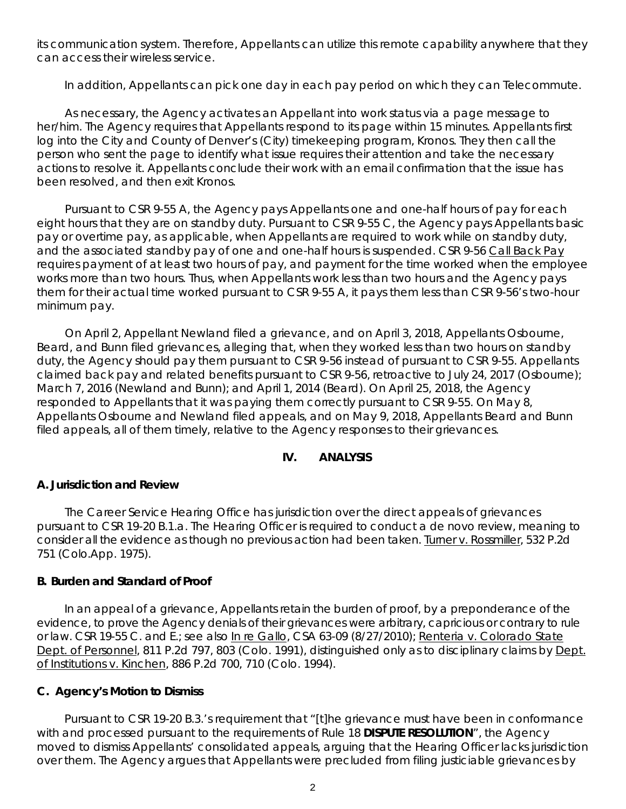its communication system. Therefore, Appellants can utilize this remote capability anywhere that they can access their wireless service.

In addition, Appellants can pick one day in each pay period on which they can Telecommute.

As necessary, the Agency activates an Appellant into work status via a page message to her/him. The Agency requires that Appellants respond to its page within 15 minutes. Appellants first log into the City and County of Denver's (City) timekeeping program, Kronos. They then call the person who sent the page to identify what issue requires their attention and take the necessary actions to resolve it. Appellants conclude their work with an email confirmation that the issue has been resolved, and then exit Kronos.

Pursuant to CSR 9-55 A, the Agency pays Appellants one and one-half hours of pay for each eight hours that they are on standby duty. Pursuant to CSR 9-55 C, the Agency pays Appellants basic pay or overtime pay, as applicable, when Appellants are required to work while on standby duty, and the associated standby pay of one and one-half hours is suspended. CSR 9-56 Call Back Pay requires payment of at least two hours of pay, and payment for the time worked when the employee works more than two hours. Thus, when Appellants work less than two hours and the Agency pays them for their actual time worked pursuant to CSR 9-55 A, it pays them less than CSR 9-56's two-hour minimum pay.

On April 2, Appellant Newland filed a grievance, and on April 3, 2018, Appellants Osbourne, Beard, and Bunn filed grievances, alleging that, when they worked less than two hours on standby duty, the Agency should pay them pursuant to CSR 9-56 instead of pursuant to CSR 9-55. Appellants claimed back pay and related benefits pursuant to CSR 9-56, retroactive to July 24, 2017 (Osbourne); March 7, 2016 (Newland and Bunn); and April 1, 2014 (Beard). On April 25, 2018, the Agency responded to Appellants that it was paying them correctly pursuant to CSR 9-55. On May 8, Appellants Osbourne and Newland filed appeals, and on May 9, 2018, Appellants Beard and Bunn filed appeals, all of them timely, relative to the Agency responses to their grievances.

## **IV. ANALYSIS**

#### **A. Jurisdiction and Review**

The Career Service Hearing Office has jurisdiction over the direct appeals of grievances pursuant to CSR 19-20 B.1.a. The Hearing Officer is required to conduct a *de novo* review, meaning to consider all the evidence as though no previous action had been taken. Turner v. Rossmiller, 532 P.2d 751 (Colo.App. 1975).

#### **B. Burden and Standard of Proof**

In an appeal of a grievance, Appellants retain the burden of proof, by a preponderance of the evidence, to prove the Agency denials of their grievances were arbitrary, capricious or contrary to rule or law. CSR 19-55 C. and E.; *see also* In re Gallo, CSA 63-09 (8/27/2010); Renteria v. Colorado State Dept. of Personnel, 811 P.2d 797, 803 (Colo. 1991), distinguished only as to disciplinary claims by Dept. of Institutions v. Kinchen, 886 P.2d 700, 710 (Colo. 1994).

#### **C. Agency's Motion to Dismiss**

Pursuant to CSR 19-20 B.3.'s requirement that "[t]he grievance must have been in conformance with and processed pursuant to the requirements of Rule 18 **DISPUTE RESOLUTION**", the Agency moved to dismiss Appellants' consolidated appeals, arguing that the Hearing Officer lacks jurisdiction over them. The Agency argues that Appellants were precluded from filing justiciable grievances by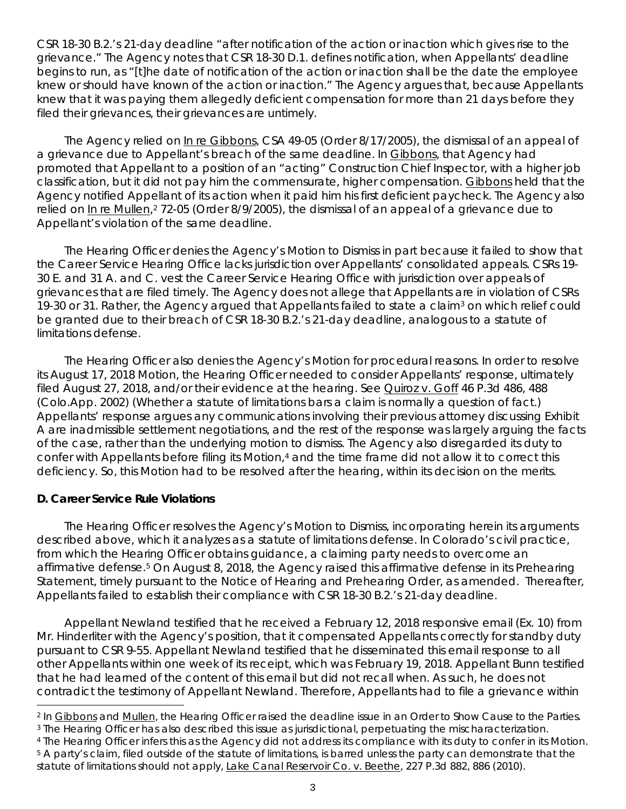CSR 18-30 B.2.'s 21-day deadline "after notification of the action or inaction which gives rise to the grievance." The Agency notes that CSR 18-30 D.1. defines notification, when Appellants' deadline begins to run, as "[t]he date of notification of the action or inaction shall be the date the employee knew or should have known of the action or inaction." The Agency argues that, because Appellants knew that it was paying them allegedly deficient compensation for more than 21 days before they filed their grievances, their grievances are untimely.

The Agency relied on In re Gibbons, CSA 49-05 (Order 8/17/2005), the dismissal of an appeal of a grievance due to Appellant's breach of the same deadline. In Gibbons, that Agency had promoted that Appellant to a position of an "acting" Construction Chief Inspector, with a higher job classification, but it did not pay him the commensurate, higher compensation. Gibbons held that the Agency notified Appellant of its action when it paid him his first deficient paycheck. The Agency also relied on In re Mullen,<sup>[2](#page-2-0)</sup> 72-05 (Order 8/9/2005), the dismissal of an appeal of a grievance due to Appellant's violation of the same deadline.

The Hearing Officer denies the Agency's Motion to Dismiss in part because it failed to show that the Career Service Hearing Office lacks jurisdiction over Appellants' consolidated appeals. CSRs 19- 30 E. and 31 A. and C. vest the Career Service Hearing Office with jurisdiction over appeals of grievances that are filed timely. The Agency does not allege that Appellants are in violation of CSRs 19-30 or 31. Rather, the Agency argued that Appellants failed to state a claim<sup>3</sup> on which relief could be granted due to their breach of CSR 18-30 B.2.'s 21-day deadline, analogous to a statute of limitations defense.

The Hearing Officer also denies the Agency's Motion for procedural reasons. In order to resolve its August 17, 2018 Motion, the Hearing Officer needed to consider Appellants' response, ultimately filed August 27, 2018, and/or their evidence at the hearing. *See* Quiroz v. Goff 46 P.3d 486, 488 (Colo.App. 2002) (Whether a statute of limitations bars a claim is normally a question of fact.) Appellants' response argues any communications involving their previous attorney discussing Exhibit A are inadmissible settlement negotiations, and the rest of the response was largely arguing the facts of the case, rather than the underlying motion to dismiss. The Agency also disregarded its duty to confer with Appellants before filing its Motion,[4](#page-2-2) and the time frame did not allow it to correct this deficiency. So, this Motion had to be resolved after the hearing, within its decision on the merits.

### **D. Career Service Rule Violations**

The Hearing Officer resolves the Agency's Motion to Dismiss, incorporating herein its arguments described above, which it analyzes as a statute of limitations defense. In Colorado's civil practice, from which the Hearing Officer obtains guidance, a claiming party needs to overcome an affirmative defense.<sup>[5](#page-2-3)</sup> On August 8, 2018, the Agency raised this affirmative defense in its Prehearing Statement, timely pursuant to the Notice of Hearing and Prehearing Order, as amended. Thereafter, Appellants failed to establish their compliance with CSR 18-30 B.2.'s 21-day deadline.

Appellant Newland testified that he received a February 12, 2018 responsive email (Ex. 10) from Mr. Hinderliter with the Agency's position, that it compensated Appellants correctly for standby duty pursuant to CSR 9-55. Appellant Newland testified that he disseminated this email response to all other Appellants within one week of its receipt, which was February 19, 2018. Appellant Bunn testified that he had learned of the content of this email but did not recall when. As such, he does not contradict the testimony of Appellant Newland. Therefore, Appellants had to file a grievance within

<span id="page-2-0"></span><sup>2</sup> In Gibbons and Mullen, the Hearing Officer raised the deadline issue in an Order to Show Cause to the Parties.

<span id="page-2-1"></span><sup>3</sup> The Hearing Officer has also described this issue as jurisdictional, perpetuating the mischaracterization.

<span id="page-2-3"></span><span id="page-2-2"></span><sup>4</sup> The Hearing Officer infers this as the Agency did not address its compliance with its duty to confer in its Motion. <sup>5</sup> A party's claim, filed outside of the statute of limitations, is barred unless the party can demonstrate that the

statute of limitations should not apply, Lake Canal Reservoir Co. v. Beethe, 227 P.3d 882, 886 (2010).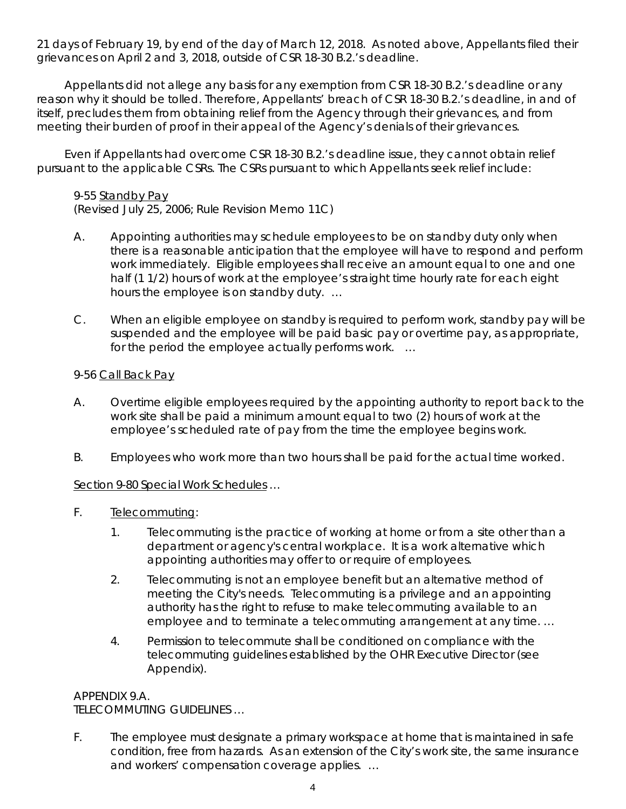21 days of February 19, by end of the day of March 12, 2018. As noted above, Appellants filed their grievances on April 2 and 3, 2018, outside of CSR 18-30 B.2.'s deadline.

Appellants did not allege any basis for any exemption from CSR 18-30 B.2.'s deadline or any reason why it should be tolled. Therefore, Appellants' breach of CSR 18-30 B.2.'s deadline, in and of itself, precludes them from obtaining relief from the Agency through their grievances, and from meeting their burden of proof in their appeal of the Agency's denials of their grievances.

Even if Appellants had overcome CSR 18-30 B.2.'s deadline issue, they cannot obtain relief pursuant to the applicable CSRs. The CSRs pursuant to which Appellants seek relief include:

## 9-55 Standby Pay

(Revised July 25, 2006; Rule Revision Memo 11C)

- A. Appointing authorities may schedule employees to be on standby duty only when there is a reasonable anticipation that the employee will have to respond and perform work immediately. Eligible employees shall receive an amount equal to one and one half (1 1/2) hours of work at the employee's straight time hourly rate for each eight hours the employee is on standby duty. …
- C. When an eligible employee on standby is required to perform work, standby pay will be suspended and the employee will be paid basic pay or overtime pay, as appropriate, for the period the employee actually performs work. …

### 9-56 Call Back Pay

- A. Overtime eligible employees required by the appointing authority to report back to the work site shall be paid a minimum amount equal to two (2) hours of work at the employee's scheduled rate of pay from the time the employee begins work.
- B. Employees who work more than two hours shall be paid for the actual time worked.

## Section 9-80 Special Work Schedules …

- F. Telecommuting:
	- 1. Telecommuting is the practice of working at home or from a site other than a department or agency's central workplace. It is a work alternative which appointing authorities may offer to or require of employees.
	- 2. Telecommuting is not an employee benefit but an alternative method of meeting the City's needs. Telecommuting is a privilege and an appointing authority has the right to refuse to make telecommuting available to an employee and to terminate a telecommuting arrangement at any time. …
	- 4. Permission to telecommute shall be conditioned on compliance with the telecommuting guidelines established by the OHR Executive Director (see Appendix).

### APPENDIX 9.A.

TELECOMMUTING GUIDELINES …

F. The employee must designate a primary workspace at home that is maintained in safe condition, free from hazards. As an extension of the City's work site, the same insurance and workers' compensation coverage applies. …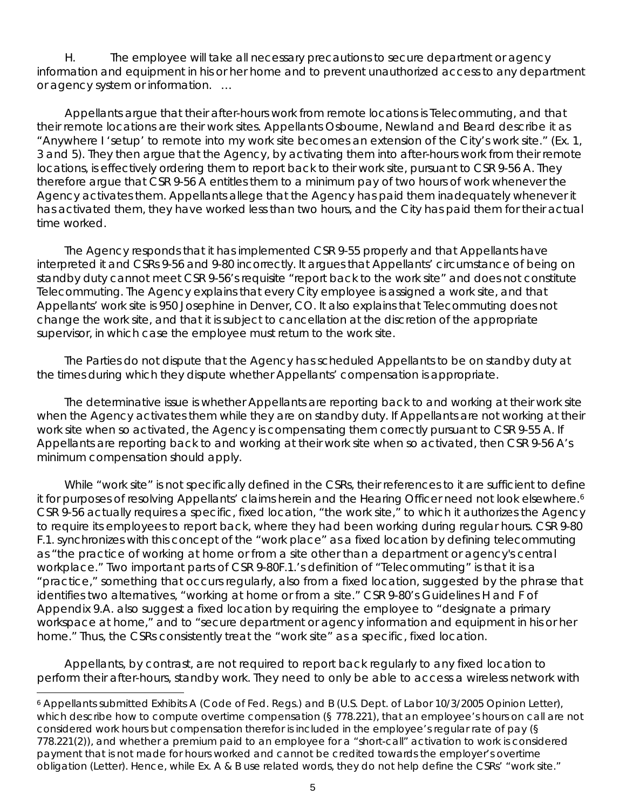H. The employee will take all necessary precautions to secure department or agency information and equipment in his or her home and to prevent unauthorized access to any department or agency system or information. …

Appellants argue that their after-hours work from remote locations is Telecommuting, and that their remote locations are their work sites. Appellants Osbourne, Newland and Beard describe it as "Anywhere I 'setup' to remote into my work site becomes an extension of the City's work site." (Ex. 1, 3 and 5). They then argue that the Agency, by activating them into after-hours work from their remote locations, is effectively ordering them to report back to their work site, pursuant to CSR 9-56 A. They therefore argue that CSR 9-56 A entitles them to a minimum pay of two hours of work whenever the Agency activates them. Appellants allege that the Agency has paid them inadequately whenever it has activated them, they have worked less than two hours, and the City has paid them for their actual time worked.

The Agency responds that it has implemented CSR 9-55 properly and that Appellants have interpreted it and CSRs 9-56 and 9-80 incorrectly. It argues that Appellants' circumstance of being on standby duty cannot meet CSR 9-56's requisite "report back to the work site" and does not constitute Telecommuting. The Agency explains that every City employee is assigned a work site, and that Appellants' work site is 950 Josephine in Denver, CO. It also explains that Telecommuting does not change the work site, and that it is subject to cancellation at the discretion of the appropriate supervisor, in which case the employee must return to the work site.

The Parties do not dispute that the Agency has scheduled Appellants to be on standby duty at the times during which they dispute whether Appellants' compensation is appropriate.

The determinative issue is whether Appellants are reporting back to and working at their work site when the Agency activates them while they are on standby duty. If Appellants are not working at their work site when so activated, the Agency is compensating them correctly pursuant to CSR 9-55 A. If Appellants are reporting back to and working at their work site when so activated, then CSR 9-56 A's minimum compensation should apply.

While "work site" is not specifically defined in the CSRs, their references to it are sufficient to define it for purposes of resolving Appellants' claims herein and the Hearing Officer need not look elsewhere.<sup>6</sup> CSR 9-56 actually requires a specific, fixed location, "the work site," to which it authorizes the Agency to require its employees to report back, where they had been working during regular hours. CSR 9-80 F.1. synchronizes with this concept of the "work place" as a fixed location by defining telecommuting as "the practice of working at home or from a site other than a department or agency's central workplace." Two important parts of CSR 9-80F.1.'s definition of "Telecommuting" is that it is a "practice," something that occurs regularly, also from a fixed location, suggested by the phrase that identifies two alternatives, "working at home or from a site." CSR 9-80's Guidelines H and F of Appendix 9.A. also suggest a fixed location by requiring the employee to "designate a primary workspace at home," and to "secure department or agency information and equipment in his or her home." Thus, the CSRs consistently treat the "work site" as a specific, fixed location.

Appellants, by contrast, are not required to report back regularly to any fixed location to perform their after-hours, standby work. They need to only be able to access a wireless network with

i

<span id="page-4-0"></span><sup>6</sup> Appellants submitted Exhibits A (Code of Fed. Regs.) and B (U.S. Dept. of Labor 10/3/2005 Opinion Letter), which describe how to compute overtime compensation (§ 778.221), that an employee's hours on call are not considered work hours but compensation therefor is included in the employee's regular rate of pay (§ 778.221(2)), and whether a premium paid to an employee for a "short-call" activation to work is considered payment that is not made for hours worked and cannot be credited towards the employer's overtime obligation (Letter). Hence, while Ex. A & B use related words, they do not help define the CSRs' "work site."